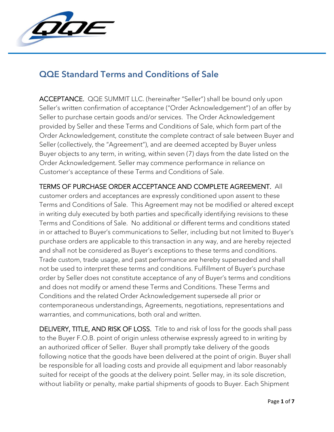

## QQE Standard Terms and Conditions of Sale

ACCEPTANCE. QQE SUMMIT LLC. (hereinafter "Seller") shall be bound only upon Seller's written confirmation of acceptance ("Order Acknowledgement") of an offer by Seller to purchase certain goods and/or services. The Order Acknowledgement provided by Seller and these Terms and Conditions of Sale, which form part of the Order Acknowledgement, constitute the complete contract of sale between Buyer and Seller (collectively, the "Agreement"), and are deemed accepted by Buyer unless Buyer objects to any term, in writing, within seven (7) days from the date listed on the Order Acknowledgement. Seller may commence performance in reliance on Customer's acceptance of these Terms and Conditions of Sale.

TERMS OF PURCHASE ORDER ACCEPTANCE AND COMPLETE AGREEMENT. All customer orders and acceptances are expressly conditioned upon assent to these Terms and Conditions of Sale. This Agreement may not be modified or altered except in writing duly executed by both parties and specifically identifying revisions to these Terms and Conditions of Sale. No additional or different terms and conditions stated in or attached to Buyer's communications to Seller, including but not limited to Buyer's purchase orders are applicable to this transaction in any way, and are hereby rejected and shall not be considered as Buyer's exceptions to these terms and conditions. Trade custom, trade usage, and past performance are hereby superseded and shall not be used to interpret these terms and conditions. Fulfillment of Buyer's purchase order by Seller does not constitute acceptance of any of Buyer's terms and conditions and does not modify or amend these Terms and Conditions. These Terms and Conditions and the related Order Acknowledgement supersede all prior or contemporaneous understandings, Agreements, negotiations, representations and warranties, and communications, both oral and written.

DELIVERY, TITLE, AND RISK OF LOSS. Title to and risk of loss for the goods shall pass to the Buyer F.O.B. point of origin unless otherwise expressly agreed to in writing by an authorized officer of Seller. Buyer shall promptly take delivery of the goods following notice that the goods have been delivered at the point of origin. Buyer shall be responsible for all loading costs and provide all equipment and labor reasonably suited for receipt of the goods at the delivery point. Seller may, in its sole discretion, without liability or penalty, make partial shipments of goods to Buyer. Each Shipment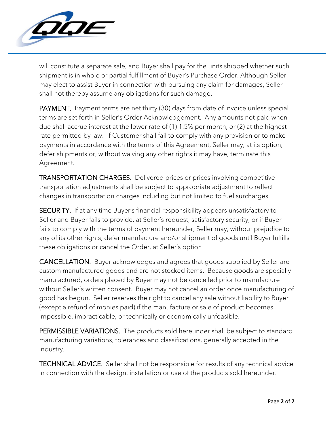

will constitute a separate sale, and Buyer shall pay for the units shipped whether such shipment is in whole or partial fulfillment of Buyer's Purchase Order. Although Seller may elect to assist Buyer in connection with pursuing any claim for damages, Seller shall not thereby assume any obligations for such damage.

PAYMENT. Payment terms are net thirty (30) days from date of invoice unless special terms are set forth in Seller's Order Acknowledgement. Any amounts not paid when due shall accrue interest at the lower rate of (1) 1.5% per month, or (2) at the highest rate permitted by law. If Customer shall fail to comply with any provision or to make payments in accordance with the terms of this Agreement, Seller may, at its option, defer shipments or, without waiving any other rights it may have, terminate this Agreement.

TRANSPORTATION CHARGES. Delivered prices or prices involving competitive transportation adjustments shall be subject to appropriate adjustment to reflect changes in transportation charges including but not limited to fuel surcharges.

SECURITY. If at any time Buyer's financial responsibility appears unsatisfactory to Seller and Buyer fails to provide, at Seller's request, satisfactory security, or if Buyer fails to comply with the terms of payment hereunder, Seller may, without prejudice to any of its other rights, defer manufacture and/or shipment of goods until Buyer fulfills these obligations or cancel the Order, at Seller's option

CANCELLATION. Buyer acknowledges and agrees that goods supplied by Seller are custom manufactured goods and are not stocked items. Because goods are specially manufactured, orders placed by Buyer may not be cancelled prior to manufacture without Seller's written consent. Buyer may not cancel an order once manufacturing of good has begun. Seller reserves the right to cancel any sale without liability to Buyer (except a refund of monies paid) if the manufacture or sale of product becomes impossible, impracticable, or technically or economically unfeasible.

PERMISSIBLE VARIATIONS. The products sold hereunder shall be subject to standard manufacturing variations, tolerances and classifications, generally accepted in the industry.

TECHNICAL ADVICE. Seller shall not be responsible for results of any technical advice in connection with the design, installation or use of the products sold hereunder.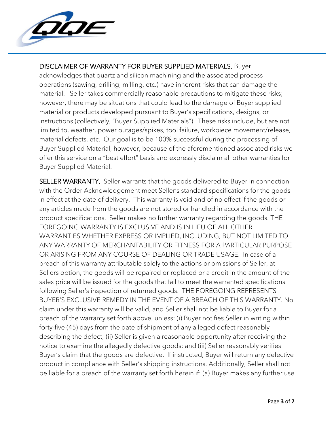

## DISCLAIMER OF WARRANTY FOR BUYER SUPPLIED MATERIALS. Buyer

acknowledges that quartz and silicon machining and the associated process operations (sawing, drilling, milling, etc.) have inherent risks that can damage the material. Seller takes commercially reasonable precautions to mitigate these risks; however, there may be situations that could lead to the damage of Buyer supplied material or products developed pursuant to Buyer's specifications, designs, or instructions (collectively, "Buyer Supplied Materials"). These risks include, but are not limited to, weather, power outages/spikes, tool failure, workpiece movement/release, material defects, etc. Our goal is to be 100% successful during the processing of Buyer Supplied Material, however, because of the aforementioned associated risks we offer this service on a "best effort" basis and expressly disclaim all other warranties for Buyer Supplied Material.

SELLER WARRANTY. Seller warrants that the goods delivered to Buyer in connection with the Order Acknowledgement meet Seller's standard specifications for the goods in effect at the date of delivery. This warranty is void and of no effect if the goods or any articles made from the goods are not stored or handled in accordance with the product specifications. Seller makes no further warranty regarding the goods. THE FOREGOING WARRANTY IS EXCLUSIVE AND IS IN LIEU OF ALL OTHER WARRANTIES WHETHER EXPRESS OR IMPLIED, INCLUDING, BUT NOT LIMITED TO ANY WARRANTY OF MERCHANTABILITY OR FITNESS FOR A PARTICULAR PURPOSE OR ARISING FROM ANY COURSE OF DEALING OR TRADE USAGE. In case of a breach of this warranty attributable solely to the actions or omissions of Seller, at Sellers option, the goods will be repaired or replaced or a credit in the amount of the sales price will be issued for the goods that fail to meet the warranted specifications following Seller's inspection of returned goods. THE FOREGOING REPRESENTS BUYER'S EXCLUSIVE REMEDY IN THE EVENT OF A BREACH OF THIS WARRANTY. No claim under this warranty will be valid, and Seller shall not be liable to Buyer for a breach of the warranty set forth above, unless: (i) Buyer notifies Seller in writing within forty-five (45) days from the date of shipment of any alleged defect reasonably describing the defect; (ii) Seller is given a reasonable opportunity after receiving the notice to examine the allegedly defective goods; and (iii) Seller reasonably verifies Buyer's claim that the goods are defective. If instructed, Buyer will return any defective product in compliance with Seller's shipping instructions. Additionally, Seller shall not be liable for a breach of the warranty set forth herein if: (a) Buyer makes any further use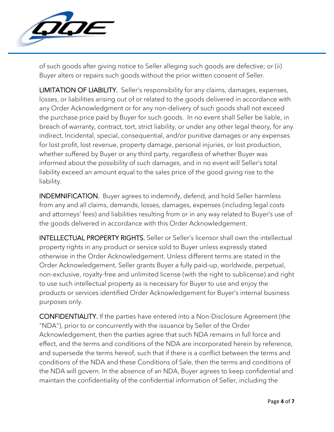

of such goods after giving notice to Seller alleging such goods are defective; or (ii) Buyer alters or repairs such goods without the prior written consent of Seller.

LIMITATION OF LIABILITY. Seller's responsibility for any claims, damages, expenses, losses, or liabilities arising out of or related to the goods delivered in accordance with any Order Acknowledgment or for any non-delivery of such goods shall not exceed the purchase price paid by Buyer for such goods. In no event shall Seller be liable, in breach of warranty, contract, tort, strict liability, or under any other legal theory, for any indirect, Incidental, special, consequential, and/or punitive damages or any expenses for lost profit, lost revenue, property damage, personal injuries, or lost production, whether suffered by Buyer or any third party, regardless of whether Buyer was informed about the possibility of such damages, and in no event will Seller's total liability exceed an amount equal to the sales price of the good giving rise to the liability.

INDEMNIFICATION. Buyer agrees to indemnify, defend, and hold Seller harmless from any and all claims, demands, losses, damages, expenses (including legal costs and attorneys' fees) and liabilities resulting from or in any way related to Buyer's use of the goods delivered in accordance with this Order Acknowledgement.

INTELLECTUAL PROPERTY RIGHTS. Seller or Seller's licensor shall own the intellectual property rights in any product or service sold to Buyer unless expressly stated otherwise in the Order Acknowledgement. Unless different terms are stated in the Order Acknowledgement, Seller grants Buyer a fully paid-up, worldwide, perpetual, non-exclusive, royalty-free and unlimited license (with the right to sublicense) and right to use such intellectual property as is necessary for Buyer to use and enjoy the products or services identified Order Acknowledgement for Buyer's internal business purposes only.

CONFIDENTIALITY. If the parties have entered into a Non-Disclosure Agreement (the "NDA"), prior to or concurrently with the issuance by Seller of the Order Acknowledgement, then the parties agree that such NDA remains in full force and effect, and the terms and conditions of the NDA are incorporated herein by reference, and supersede the terms hereof, such that if there is a conflict between the terms and conditions of the NDA and these Conditions of Sale, then the terms and conditions of the NDA will govern. In the absence of an NDA, Buyer agrees to keep confidential and maintain the confidentiality of the confidential information of Seller, including the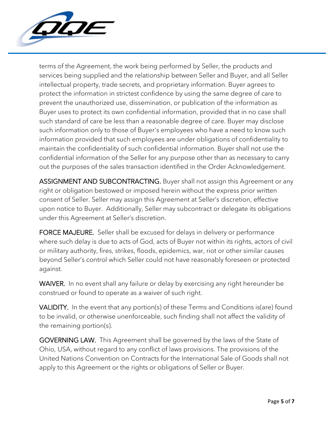

terms of the Agreement, the work being performed by Seller, the products and services being supplied and the relationship between Seller and Buyer, and all Seller intellectual property, trade secrets, and proprietary information. Buyer agrees to protect the information in strictest confidence by using the same degree of care to prevent the unauthorized use, dissemination, or publication of the information as Buyer uses to protect its own confidential information, provided that in no case shall such standard of care be less than a reasonable degree of care. Buyer may disclose such information only to those of Buyer's employees who have a need to know such information provided that such employees are under obligations of confidentiality to maintain the confidentiality of such confidential information. Buyer shall not use the confidential information of the Seller for any purpose other than as necessary to carry out the purposes of the sales transaction identified in the Order Acknowledgement.

ASSIGNMENT AND SUBCONTRACTING. Buyer shall not assign this Agreement or any right or obligation bestowed or imposed herein without the express prior written consent of Seller. Seller may assign this Agreement at Seller's discretion, effective upon notice to Buyer. Additionally, Seller may subcontract or delegate its obligations under this Agreement at Seller's discretion.

FORCE MAJEURE. Seller shall be excused for delays in delivery or performance where such delay is due to acts of God, acts of Buyer not within its rights, actors of civil or military authority, fires, strikes, floods, epidemics, war, riot or other similar causes beyond Seller's control which Seller could not have reasonably foreseen or protected against.

WAIVER. In no event shall any failure or delay by exercising any right hereunder be construed or found to operate as a waiver of such right.

VALIDITY. In the event that any portion(s) of these Terms and Conditions is(are) found to be invalid, or otherwise unenforceable, such finding shall not affect the validity of the remaining portion(s).

GOVERNING LAW. This Agreement shall be governed by the laws of the State of Ohio, USA, without regard to any conflict of laws provisions. The provisions of the United Nations Convention on Contracts for the International Sale of Goods shall not apply to this Agreement or the rights or obligations of Seller or Buyer.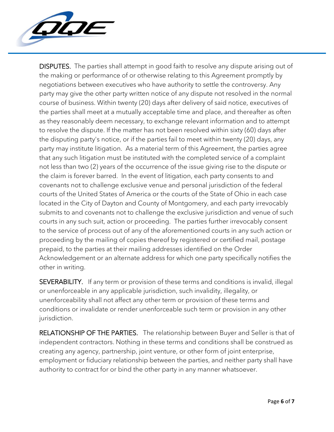

DISPUTES. The parties shall attempt in good faith to resolve any dispute arising out of the making or performance of or otherwise relating to this Agreement promptly by negotiations between executives who have authority to settle the controversy. Any party may give the other party written notice of any dispute not resolved in the normal course of business. Within twenty (20) days after delivery of said notice, executives of the parties shall meet at a mutually acceptable time and place, and thereafter as often as they reasonably deem necessary, to exchange relevant information and to attempt to resolve the dispute. If the matter has not been resolved within sixty (60) days after the disputing party's notice, or if the parties fail to meet within twenty (20) days, any party may institute litigation. As a material term of this Agreement, the parties agree that any such litigation must be instituted with the completed service of a complaint not less than two (2) years of the occurrence of the issue giving rise to the dispute or the claim is forever barred. In the event of litigation, each party consents to and covenants not to challenge exclusive venue and personal jurisdiction of the federal courts of the United States of America or the courts of the State of Ohio in each case located in the City of Dayton and County of Montgomery, and each party irrevocably submits to and covenants not to challenge the exclusive jurisdiction and venue of such courts in any such suit, action or proceeding. The parties further irrevocably consent to the service of process out of any of the aforementioned courts in any such action or proceeding by the mailing of copies thereof by registered or certified mail, postage prepaid, to the parties at their mailing addresses identified on the Order Acknowledgement or an alternate address for which one party specifically notifies the other in writing.

SEVERABILITY. If any term or provision of these terms and conditions is invalid, illegal or unenforceable in any applicable jurisdiction, such invalidity, illegality, or unenforceability shall not affect any other term or provision of these terms and conditions or invalidate or render unenforceable such term or provision in any other jurisdiction.

RELATIONSHIP OF THE PARTIES. The relationship between Buyer and Seller is that of independent contractors. Nothing in these terms and conditions shall be construed as creating any agency, partnership, joint venture, or other form of joint enterprise, employment or fiduciary relationship between the parties, and neither party shall have authority to contract for or bind the other party in any manner whatsoever.